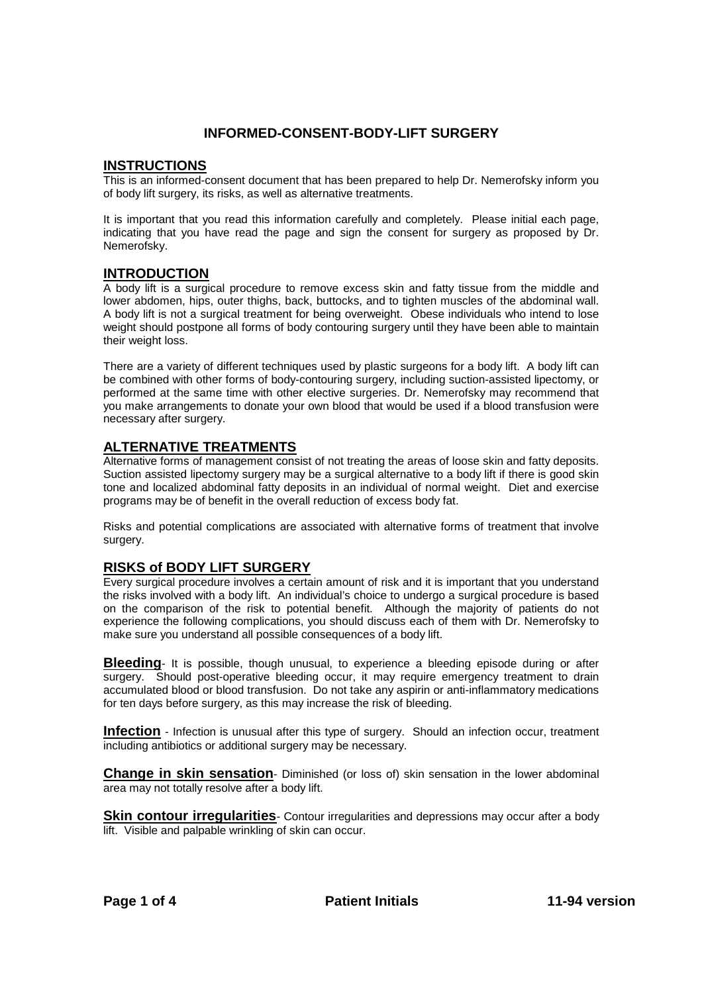# **INFORMED-CONSENT-BODY-LIFT SURGERY**

#### **INSTRUCTIONS**

This is an informed-consent document that has been prepared to help Dr. Nemerofsky inform you of body lift surgery, its risks, as well as alternative treatments.

It is important that you read this information carefully and completely. Please initial each page, indicating that you have read the page and sign the consent for surgery as proposed by Dr. Nemerofsky.

#### **INTRODUCTION**

A body lift is a surgical procedure to remove excess skin and fatty tissue from the middle and lower abdomen, hips, outer thighs, back, buttocks, and to tighten muscles of the abdominal wall. A body lift is not a surgical treatment for being overweight. Obese individuals who intend to lose weight should postpone all forms of body contouring surgery until they have been able to maintain their weight loss.

There are a variety of different techniques used by plastic surgeons for a body lift. A body lift can be combined with other forms of body-contouring surgery, including suction-assisted lipectomy, or performed at the same time with other elective surgeries. Dr. Nemerofsky may recommend that you make arrangements to donate your own blood that would be used if a blood transfusion were necessary after surgery.

#### **ALTERNATIVE TREATMENTS**

Alternative forms of management consist of not treating the areas of loose skin and fatty deposits. Suction assisted lipectomy surgery may be a surgical alternative to a body lift if there is good skin tone and localized abdominal fatty deposits in an individual of normal weight. Diet and exercise programs may be of benefit in the overall reduction of excess body fat.

Risks and potential complications are associated with alternative forms of treatment that involve surgery.

#### **RISKS of BODY LIFT SURGERY**

Every surgical procedure involves a certain amount of risk and it is important that you understand the risks involved with a body lift. An individual's choice to undergo a surgical procedure is based on the comparison of the risk to potential benefit. Although the majority of patients do not experience the following complications, you should discuss each of them with Dr. Nemerofsky to make sure you understand all possible consequences of a body lift.

**Bleeding**- It is possible, though unusual, to experience a bleeding episode during or after surgery. Should post-operative bleeding occur, it may require emergency treatment to drain accumulated blood or blood transfusion. Do not take any aspirin or anti-inflammatory medications for ten days before surgery, as this may increase the risk of bleeding.

**Infection** - Infection is unusual after this type of surgery. Should an infection occur, treatment including antibiotics or additional surgery may be necessary.

**Change in skin sensation**- Diminished (or loss of) skin sensation in the lower abdominal area may not totally resolve after a body lift.

**Skin contour irregularities**- Contour irregularities and depressions may occur after a body lift. Visible and palpable wrinkling of skin can occur.

**Page 1 of 4 Patient Initials 11-94 version**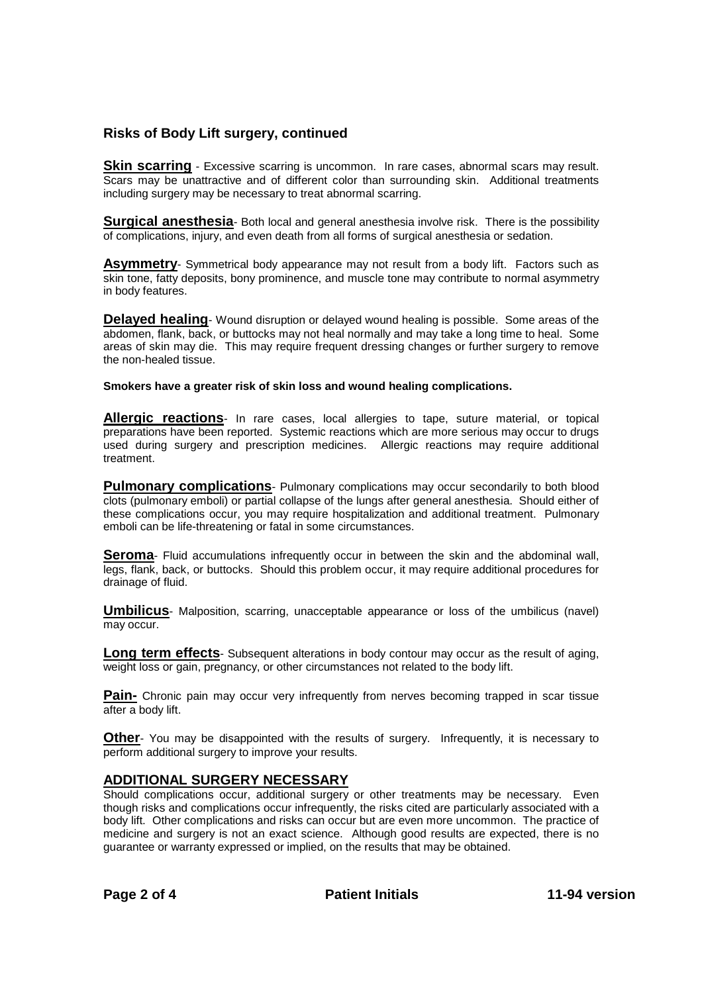## **Risks of Body Lift surgery, continued**

**Skin scarring** - Excessive scarring is uncommon. In rare cases, abnormal scars may result. Scars may be unattractive and of different color than surrounding skin. Additional treatments including surgery may be necessary to treat abnormal scarring.

**Surgical anesthesia**- Both local and general anesthesia involve risk. There is the possibility of complications, injury, and even death from all forms of surgical anesthesia or sedation.

**Asymmetry**- Symmetrical body appearance may not result from a body lift. Factors such as skin tone, fatty deposits, bony prominence, and muscle tone may contribute to normal asymmetry in body features.

**Delayed healing**- Wound disruption or delayed wound healing is possible. Some areas of the abdomen, flank, back, or buttocks may not heal normally and may take a long time to heal. Some areas of skin may die. This may require frequent dressing changes or further surgery to remove the non-healed tissue.

**Smokers have a greater risk of skin loss and wound healing complications.**

**Allergic reactions**- In rare cases, local allergies to tape, suture material, or topical preparations have been reported. Systemic reactions which are more serious may occur to drugs used during surgery and prescription medicines. Allergic reactions may require additional treatment.

**Pulmonary complications**- Pulmonary complications may occur secondarily to both blood clots (pulmonary emboli) or partial collapse of the lungs after general anesthesia. Should either of these complications occur, you may require hospitalization and additional treatment. Pulmonary emboli can be life-threatening or fatal in some circumstances.

**Seroma**- Fluid accumulations infrequently occur in between the skin and the abdominal wall, legs, flank, back, or buttocks. Should this problem occur, it may require additional procedures for drainage of fluid.

**Umbilicus**- Malposition, scarring, unacceptable appearance or loss of the umbilicus (navel) may occur.

**Long term effects**- Subsequent alterations in body contour may occur as the result of aging, weight loss or gain, pregnancy, or other circumstances not related to the body lift.

**Pain-** Chronic pain may occur very infrequently from nerves becoming trapped in scar tissue after a body lift.

**Other**- You may be disappointed with the results of surgery. Infrequently, it is necessary to perform additional surgery to improve your results.

#### **ADDITIONAL SURGERY NECESSARY**

Should complications occur, additional surgery or other treatments may be necessary. Even though risks and complications occur infrequently, the risks cited are particularly associated with a body lift. Other complications and risks can occur but are even more uncommon. The practice of medicine and surgery is not an exact science. Although good results are expected, there is no guarantee or warranty expressed or implied, on the results that may be obtained.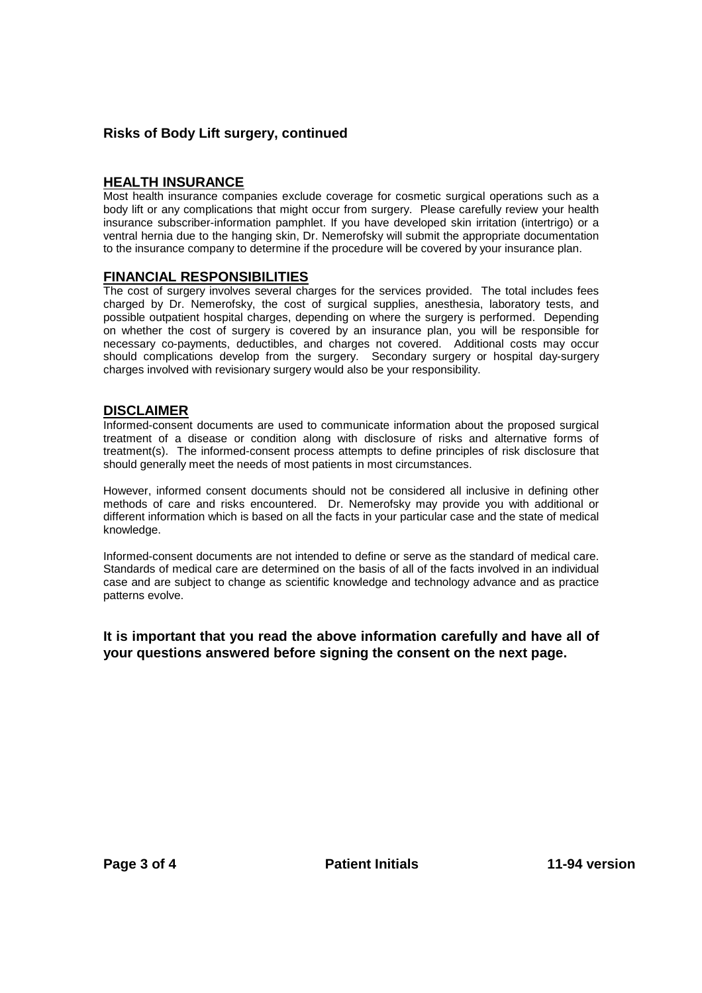## **Risks of Body Lift surgery, continued**

## **HEALTH INSURANCE**

Most health insurance companies exclude coverage for cosmetic surgical operations such as a body lift or any complications that might occur from surgery. Please carefully review your health insurance subscriber-information pamphlet. If you have developed skin irritation (intertrigo) or a ventral hernia due to the hanging skin, Dr. Nemerofsky will submit the appropriate documentation to the insurance company to determine if the procedure will be covered by your insurance plan.

#### **FINANCIAL RESPONSIBILITIES**

The cost of surgery involves several charges for the services provided. The total includes fees charged by Dr. Nemerofsky, the cost of surgical supplies, anesthesia, laboratory tests, and possible outpatient hospital charges, depending on where the surgery is performed. Depending on whether the cost of surgery is covered by an insurance plan, you will be responsible for necessary co-payments, deductibles, and charges not covered. Additional costs may occur should complications develop from the surgery. Secondary surgery or hospital day-surgery charges involved with revisionary surgery would also be your responsibility.

#### **DISCLAIMER**

Informed-consent documents are used to communicate information about the proposed surgical treatment of a disease or condition along with disclosure of risks and alternative forms of treatment(s). The informed-consent process attempts to define principles of risk disclosure that should generally meet the needs of most patients in most circumstances.

However, informed consent documents should not be considered all inclusive in defining other methods of care and risks encountered. Dr. Nemerofsky may provide you with additional or different information which is based on all the facts in your particular case and the state of medical knowledge.

Informed-consent documents are not intended to define or serve as the standard of medical care. Standards of medical care are determined on the basis of all of the facts involved in an individual case and are subject to change as scientific knowledge and technology advance and as practice patterns evolve.

#### **It is important that you read the above information carefully and have all of your questions answered before signing the consent on the next page.**